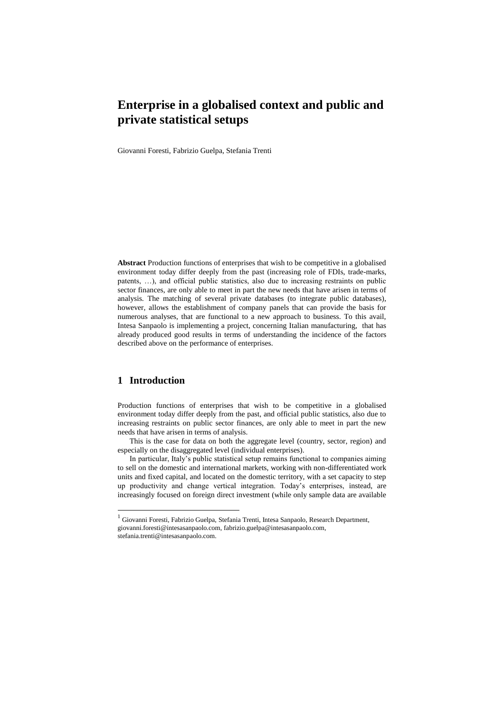Giovanni Foresti, Fabrizio Guelpa, Stefania Trenti

**Abstract** Production functions of enterprises that wish to be competitive in a globalised environment today differ deeply from the past (increasing role of FDIs, trade-marks, patents, …), and official public statistics, also due to increasing restraints on public sector finances, are only able to meet in part the new needs that have arisen in terms of analysis. The matching of several private databases (to integrate public databases), however, allows the establishment of company panels that can provide the basis for numerous analyses, that are functional to a new approach to business. To this avail, Intesa Sanpaolo is implementing a project, concerning Italian manufacturing, that has already produced good results in terms of understanding the incidence of the factors described above on the performance of enterprises.

# **1 Introduction**

 $\overline{a}$ 

Production functions of enterprises that wish to be competitive in a globalised environment today differ deeply from the past, and official public statistics, also due to increasing restraints on public sector finances, are only able to meet in part the new needs that have arisen in terms of analysis.

This is the case for data on both the aggregate level (country, sector, region) and especially on the disaggregated level (individual enterprises).

In particular, Italy's public statistical setup remains functional to companies aiming to sell on the domestic and international markets, working with non-differentiated work units and fixed capital, and located on the domestic territory, with a set capacity to step up productivity and change vertical integration. Today's enterprises, instead, are increasingly focused on foreign direct investment (while only sample data are available

<sup>&</sup>lt;sup>1</sup> Giovanni Foresti, Fabrizio Guelpa, Stefania Trenti, Intesa Sanpaolo, Research Department, [giovanni.foresti@intesasanpaolo.com,](mailto:giovanniforesti@intesasanpaolo.com) fabrizio.guelpa@intesasanpaolo.com, stefania.trenti@intesasanpaolo.com.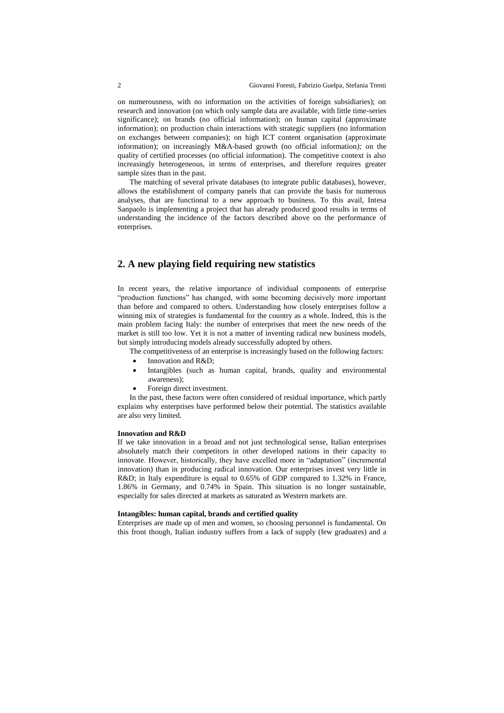on numerousness, with no information on the activities of foreign subsidiaries); on research and innovation (on which only sample data are available, with little time-series significance); on brands (no official information); on human capital (approximate information); on production chain interactions with strategic suppliers (no information on exchanges between companies); on high ICT content organisation (approximate information); on increasingly M&A-based growth (no official information*);* on the quality of certified processes (no official information). The competitive context is also increasingly heterogeneous, in terms of enterprises, and therefore requires greater sample sizes than in the past.

The matching of several private databases (to integrate public databases), however, allows the establishment of company panels that can provide the basis for numerous analyses, that are functional to a new approach to business. To this avail, Intesa Sanpaolo is implementing a project that has already produced good results in terms of understanding the incidence of the factors described above on the performance of enterprises.

# **2. A new playing field requiring new statistics**

In recent years, the relative importance of individual components of enterprise "production functions" has changed, with some becoming decisively more important than before and compared to others. Understanding how closely enterprises follow a winning mix of strategies is fundamental for the country as a whole. Indeed, this is the main problem facing Italy: the number of enterprises that meet the new needs of the market is still too low. Yet it is not a matter of inventing radical new business models, but simply introducing models already successfully adopted by others.

The competitiveness of an enterprise is increasingly based on the following factors:

- Innovation and R&D;
- Intangibles (such as human capital, brands, quality and environmental awareness);
- Foreign direct investment.

In the past, these factors were often considered of residual importance, which partly explains why enterprises have performed below their potential. The statistics available are also very limited.

#### **Innovation and R&D**

If we take innovation in a broad and not just technological sense, Italian enterprises absolutely match their competitors in other developed nations in their capacity to innovate. However, historically, they have excelled more in "adaptation" (incremental innovation) than in producing radical innovation. Our enterprises invest very little in R&D; in Italy expenditure is equal to 0.65% of GDP compared to 1.32% in France, 1.86% in Germany, and 0.74% in Spain. This situation is no longer sustainable, especially for sales directed at markets as saturated as Western markets are.

#### **Intangibles: human capital, brands and certified quality**

Enterprises are made up of men and women, so choosing personnel is fundamental. On this front though, Italian industry suffers from a lack of supply (few graduates) and a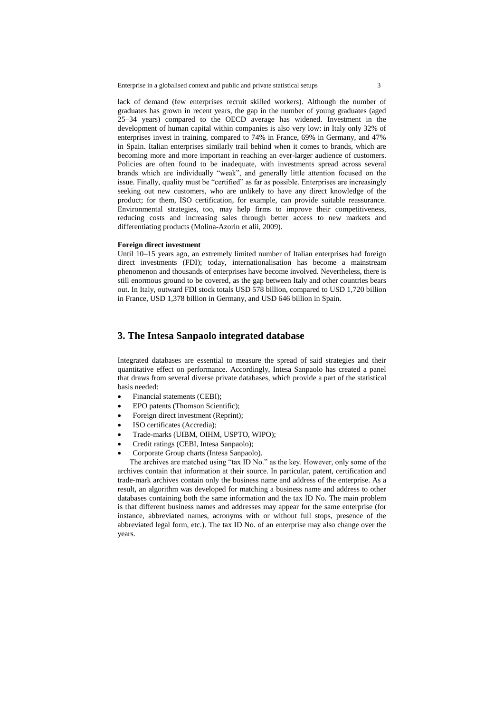lack of demand (few enterprises recruit skilled workers). Although the number of graduates has grown in recent years, the gap in the number of young graduates (aged 25–34 years) compared to the OECD average has widened. Investment in the development of human capital within companies is also very low: in Italy only 32% of enterprises invest in training, compared to 74% in France, 69% in Germany, and 47% in Spain. Italian enterprises similarly trail behind when it comes to brands, which are becoming more and more important in reaching an ever-larger audience of customers. Policies are often found to be inadequate, with investments spread across several brands which are individually "weak", and generally little attention focused on the issue. Finally, quality must be "certified" as far as possible. Enterprises are increasingly seeking out new customers, who are unlikely to have any direct knowledge of the product; for them, ISO certification, for example, can provide suitable reassurance. Environmental strategies, too, may help firms to improve their competitiveness, reducing costs and increasing sales through better access to new markets and differentiating products (Molina-Azorin et alii, 2009).

#### **Foreign direct investment**

Until 10–15 years ago, an extremely limited number of Italian enterprises had foreign direct investments (FDI); today, internationalisation has become a mainstream phenomenon and thousands of enterprises have become involved. Nevertheless, there is still enormous ground to be covered, as the gap between Italy and other countries bears out. In Italy, outward FDI stock totals USD 578 billion, compared to USD 1,720 billion in France, USD 1,378 billion in Germany, and USD 646 billion in Spain.

### **3. The Intesa Sanpaolo integrated database**

Integrated databases are essential to measure the spread of said strategies and their quantitative effect on performance. Accordingly, Intesa Sanpaolo has created a panel that draws from several diverse private databases, which provide a part of the statistical basis needed:

- Financial statements (CEBI);
- EPO patents (Thomson Scientific);
- Foreign direct investment (Reprint);
- ISO certificates (Accredia);
- Trade-marks (UIBM, OIHM, USPTO, WIPO);
- Credit ratings (CEBI, Intesa Sanpaolo);
- Corporate Group charts (Intesa Sanpaolo).

The archives are matched using "tax ID No." as the key. However, only some of the archives contain that information at their source. In particular, patent, certification and trade-mark archives contain only the business name and address of the enterprise. As a result, an algorithm was developed for matching a business name and address to other databases containing both the same information and the tax ID No. The main problem is that different business names and addresses may appear for the same enterprise (for instance, abbreviated names, acronyms with or without full stops, presence of the abbreviated legal form, etc.). The tax ID No. of an enterprise may also change over the years.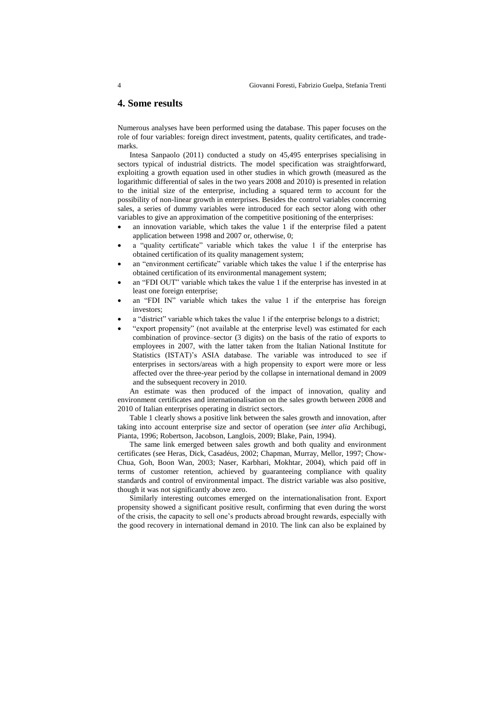### **4. Some results**

Numerous analyses have been performed using the database. This paper focuses on the role of four variables: foreign direct investment, patents, quality certificates, and trademarks.

Intesa Sanpaolo (2011) conducted a study on 45,495 enterprises specialising in sectors typical of industrial districts. The model specification was straightforward, exploiting a growth equation used in other studies in which growth (measured as the logarithmic differential of sales in the two years 2008 and 2010) is presented in relation to the initial size of the enterprise, including a squared term to account for the possibility of non-linear growth in enterprises. Besides the control variables concerning sales, a series of dummy variables were introduced for each sector along with other variables to give an approximation of the competitive positioning of the enterprises:

- an innovation variable, which takes the value 1 if the enterprise filed a patent application between 1998 and 2007 or, otherwise, 0;
- a "quality certificate" variable which takes the value 1 if the enterprise has obtained certification of its quality management system;
- an "environment certificate" variable which takes the value 1 if the enterprise has obtained certification of its environmental management system;
- an "FDI OUT" variable which takes the value 1 if the enterprise has invested in at least one foreign enterprise;
- an "FDI IN" variable which takes the value 1 if the enterprise has foreign investors;
- a "district" variable which takes the value 1 if the enterprise belongs to a district;
- "export propensity" (not available at the enterprise level) was estimated for each combination of province–sector (3 digits) on the basis of the ratio of exports to employees in 2007, with the latter taken from the Italian National Institute for Statistics (ISTAT)'s ASIA database. The variable was introduced to see if enterprises in sectors/areas with a high propensity to export were more or less affected over the three-year period by the collapse in international demand in 2009 and the subsequent recovery in 2010.

An estimate was then produced of the impact of innovation, quality and environment certificates and internationalisation on the sales growth between 2008 and 2010 of Italian enterprises operating in district sectors.

Table 1 clearly shows a positive link between the sales growth and innovation, after taking into account enterprise size and sector of operation (see *inter alia* Archibugi, Pianta, 1996; Robertson, Jacobson, Langlois, 2009; Blake, Pain, 1994).

The same link emerged between sales growth and both quality and environment certificates (see Heras, Dick, Casadéus, 2002; Chapman, Murray, Mellor, 1997; Chow-Chua, Goh, Boon Wan, 2003; Naser, Karbhari, Mokhtar, 2004), which paid off in terms of customer retention, achieved by guaranteeing compliance with quality standards and control of environmental impact. The district variable was also positive, though it was not significantly above zero.

Similarly interesting outcomes emerged on the internationalisation front. Export propensity showed a significant positive result, confirming that even during the worst of the crisis, the capacity to sell one's products abroad brought rewards, especially with the good recovery in international demand in 2010. The link can also be explained by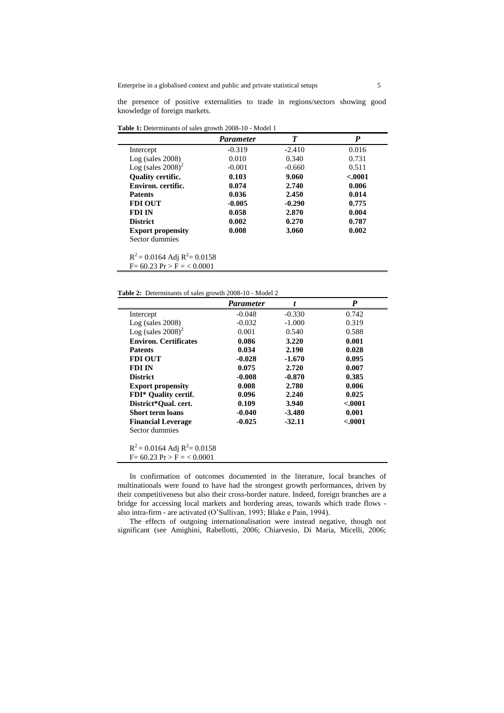the presence of positive externalities to trade in regions/sectors showing good knowledge of foreign markets.

**Table 1:** Determinants of sales growth 2008-10 - Model 1

|                                  | <b>Parameter</b> | T        | P        |
|----------------------------------|------------------|----------|----------|
| Intercept                        | $-0.319$         | $-2.410$ | 0.016    |
| $Log$ (sales 2008)               | 0.010            | 0.340    | 0.731    |
| Log (sales $2008$ ) <sup>2</sup> | $-0.001$         | $-0.660$ | 0.511    |
| <b>Ouality certific.</b>         | 0.103            | 9.060    | $-.0001$ |
| Environ, certific.               | 0.074            | 2.740    | 0.006    |
| <b>Patents</b>                   | 0.036            | 2.450    | 0.014    |
| <b>FDI OUT</b>                   | $-0.005$         | $-0.290$ | 0.775    |
| <b>FDI IN</b>                    | 0.058            | 2.870    | 0.004    |
| <b>District</b>                  | 0.002            | 0.270    | 0.787    |
| <b>Export propensity</b>         | 0.008            | 3.060    | 0.002    |
| Sector dummies                   |                  |          |          |

**Table 2:** Determinants of sales growth 2008-10 - Model 2

 $\blacksquare$ 

|                                      | <b>Parameter</b> |          | P       |
|--------------------------------------|------------------|----------|---------|
| Intercept                            | $-0.048$         | $-0.330$ | 0.742   |
| $Log$ (sales 2008)                   | $-0.032$         | $-1.000$ | 0.319   |
| Log (sales $2008$ ) <sup>2</sup>     | 0.001            | 0.540    | 0.588   |
| <b>Environ. Certificates</b>         | 0.086            | 3.220    | 0.001   |
| <b>Patents</b>                       | 0.034            | 2.190    | 0.028   |
| <b>FDI OUT</b>                       | $-0.028$         | $-1.670$ | 0.095   |
| FDI IN                               | 0.075            | 2.720    | 0.007   |
| <b>District</b>                      | $-0.008$         | $-0.870$ | 0.385   |
| <b>Export propensity</b>             | 0.008            | 2.780    | 0.006   |
| <b>FDI*</b> Ouality certif.          | 0.096            | 2.240    | 0.025   |
| District*Oual. cert.                 | 0.109            | 3.940    | < .0001 |
| <b>Short term loans</b>              | $-0.040$         | $-3.480$ | 0.001   |
| <b>Financial Leverage</b>            | $-0.025$         | $-32.11$ | < .0001 |
| Sector dummies                       |                  |          |         |
| $R^2$ = 0.0164 Adj $R^2$ = 0.0158    |                  |          |         |
| $F = 60.23 \text{ Pr} > F = 60.0001$ |                  |          |         |
|                                      |                  |          |         |

In confirmation of outcomes documented in the literature, local branches of multinationals were found to have had the strongest growth performances, driven by their competitiveness but also their cross-border nature. Indeed, foreign branches are a bridge for accessing local markets and bordering areas, towards which trade flows also intra-firm - are activated (O'Sullivan, 1993; Blake e Pain, 1994).

The effects of outgoing internationalisation were instead negative, though not significant (see Amighini, Rabellotti, 2006; Chiarvesio, Di Maria, Micelli, 2006;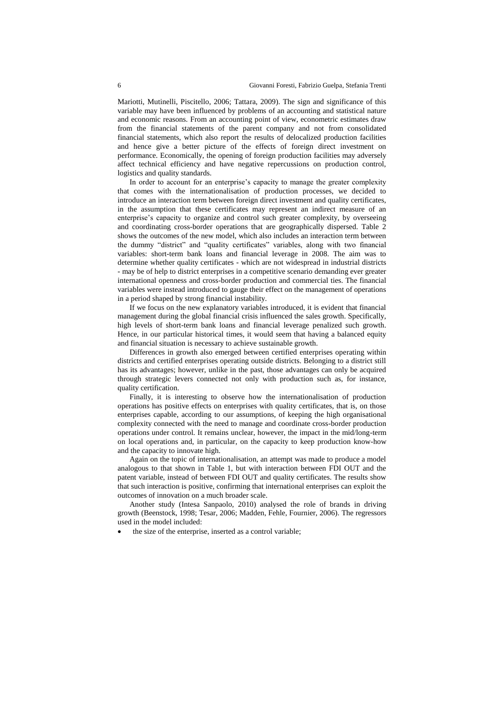Mariotti, Mutinelli, Piscitello, 2006; Tattara, 2009). The sign and significance of this variable may have been influenced by problems of an accounting and statistical nature and economic reasons. From an accounting point of view, econometric estimates draw from the financial statements of the parent company and not from consolidated financial statements, which also report the results of delocalized production facilities and hence give a better picture of the effects of foreign direct investment on performance. Economically, the opening of foreign production facilities may adversely affect technical efficiency and have negative repercussions on production control, logistics and quality standards.

In order to account for an enterprise's capacity to manage the greater complexity that comes with the internationalisation of production processes, we decided to introduce an interaction term between foreign direct investment and quality certificates, in the assumption that these certificates may represent an indirect measure of an enterprise's capacity to organize and control such greater complexity, by overseeing and coordinating cross-border operations that are geographically dispersed. Table 2 shows the outcomes of the new model, which also includes an interaction term between the dummy "district" and "quality certificates" variables, along with two financial variables: short-term bank loans and financial leverage in 2008. The aim was to determine whether quality certificates - which are not widespread in industrial districts - may be of help to district enterprises in a competitive scenario demanding ever greater international openness and cross-border production and commercial ties. The financial variables were instead introduced to gauge their effect on the management of operations in a period shaped by strong financial instability.

If we focus on the new explanatory variables introduced, it is evident that financial management during the global financial crisis influenced the sales growth. Specifically, high levels of short-term bank loans and financial leverage penalized such growth. Hence, in our particular historical times, it would seem that having a balanced equity and financial situation is necessary to achieve sustainable growth.

Differences in growth also emerged between certified enterprises operating within districts and certified enterprises operating outside districts. Belonging to a district still has its advantages; however, unlike in the past, those advantages can only be acquired through strategic levers connected not only with production such as, for instance, quality certification.

Finally, it is interesting to observe how the internationalisation of production operations has positive effects on enterprises with quality certificates, that is, on those enterprises capable, according to our assumptions, of keeping the high organisational complexity connected with the need to manage and coordinate cross-border production operations under control. It remains unclear, however, the impact in the mid/long-term on local operations and, in particular, on the capacity to keep production know-how and the capacity to innovate high.

Again on the topic of internationalisation, an attempt was made to produce a model analogous to that shown in Table 1, but with interaction between FDI OUT and the patent variable, instead of between FDI OUT and quality certificates. The results show that such interaction is positive, confirming that international enterprises can exploit the outcomes of innovation on a much broader scale.

Another study (Intesa Sanpaolo, 2010) analysed the role of brands in driving growth (Beenstock, 1998; Tesar, 2006; Madden, Fehle, Fournier, 2006). The regressors used in the model included:

the size of the enterprise, inserted as a control variable;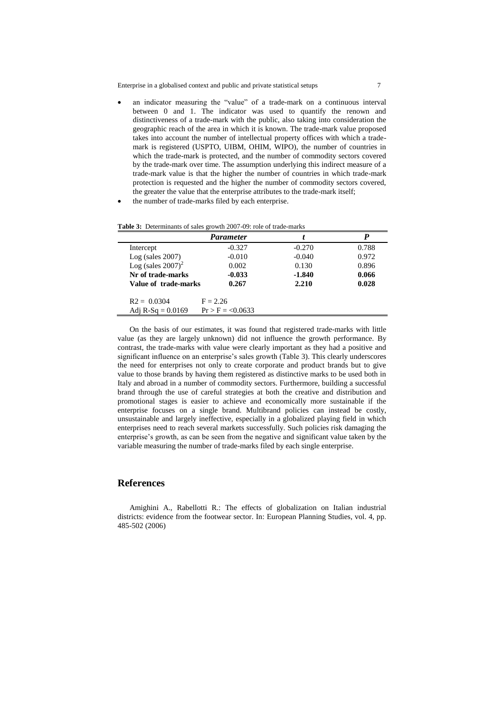- an indicator measuring the "value" of a trade-mark on a continuous interval between 0 and 1. The indicator was used to quantify the renown and distinctiveness of a trade-mark with the public, also taking into consideration the geographic reach of the area in which it is known. The trade-mark value proposed takes into account the number of intellectual property offices with which a trademark is registered (USPTO, UIBM, OHIM, WIPO), the number of countries in which the trade-mark is protected, and the number of commodity sectors covered by the trade-mark over time. The assumption underlying this indirect measure of a trade-mark value is that the higher the number of countries in which trade-mark protection is requested and the higher the number of commodity sectors covered, the greater the value that the enterprise attributes to the trade-mark itself;
- the number of trade-marks filed by each enterprise.

|                                  | Parameter           |          |       |
|----------------------------------|---------------------|----------|-------|
| Intercept                        | $-0.327$            | $-0.270$ | 0.788 |
| $Log$ (sales 2007)               | $-0.010$            | $-0.040$ | 0.972 |
| Log (sales $2007$ ) <sup>2</sup> | 0.002               | 0.130    | 0.896 |
| Nr of trade-marks                | $-0.033$            | $-1.840$ | 0.066 |
| Value of trade-marks             | 0.267               | 2.210    | 0.028 |
| $R2 = 0.0304$                    | $F = 2.26$          |          |       |
| Adj R-Sq = $0.0169$              | $Pr > F = < 0.0633$ |          |       |

On the basis of our estimates, it was found that registered trade-marks with little value (as they are largely unknown) did not influence the growth performance. By contrast, the trade-marks with value were clearly important as they had a positive and significant influence on an enterprise's sales growth (Table 3). This clearly underscores the need for enterprises not only to create corporate and product brands but to give value to those brands by having them registered as distinctive marks to be used both in Italy and abroad in a number of commodity sectors. Furthermore, building a successful brand through the use of careful strategies at both the creative and distribution and promotional stages is easier to achieve and economically more sustainable if the enterprise focuses on a single brand. Multibrand policies can instead be costly, unsustainable and largely ineffective, especially in a globalized playing field in which enterprises need to reach several markets successfully. Such policies risk damaging the enterprise's growth, as can be seen from the negative and significant value taken by the variable measuring the number of trade-marks filed by each single enterprise.

### **References**

Amighini A., Rabellotti R.: The effects of globalization on Italian industrial districts: evidence from the footwear sector. In: European Planning Studies, vol. 4, pp. 485-502 (2006)